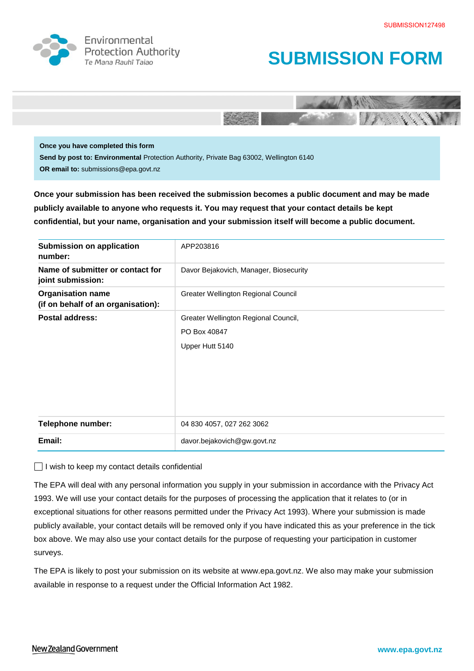

Environmental **Protection Authority** 





**Once you have completed this form Send by post to: Environmental** Protection Authority, Private Bag 63002, Wellington 6140 **OR email to:** submissions@epa.govt.nz

**Once your submission has been received the submission becomes a public document and may be made publicly available to anyone who requests it. You may request that your contact details be kept confidential, but your name, organisation and your submission itself will become a public document.** 

| <b>Submission on application</b><br>number:                    | APP203816                              |
|----------------------------------------------------------------|----------------------------------------|
| Name of submitter or contact for<br>joint submission:          | Davor Bejakovich, Manager, Biosecurity |
| <b>Organisation name</b><br>(if on behalf of an organisation): | Greater Wellington Regional Council    |
| Postal address:                                                | Greater Wellington Regional Council,   |
|                                                                | PO Box 40847                           |
|                                                                | Upper Hutt 5140                        |
|                                                                |                                        |
|                                                                |                                        |
|                                                                |                                        |
|                                                                |                                        |
| Telephone number:                                              | 04 830 4057, 027 262 3062              |
| Email:                                                         | davor.bejakovich@gw.govt.nz            |

 $\Box$  I wish to keep my contact details confidential

The EPA will deal with any personal information you supply in your submission in accordance with the Privacy Act 1993. We will use your contact details for the purposes of processing the application that it relates to (or in exceptional situations for other reasons permitted under the Privacy Act 1993). Where your submission is made publicly available, your contact details will be removed only if you have indicated this as your preference in the tick box above. We may also use your contact details for the purpose of requesting your participation in customer surveys.

The EPA is likely to post your submission on its website at [www.epa.govt.nz.](http://www.ermanz.govt.nz/) We also may make your submission available in response to a request under the Official Information Act 1982.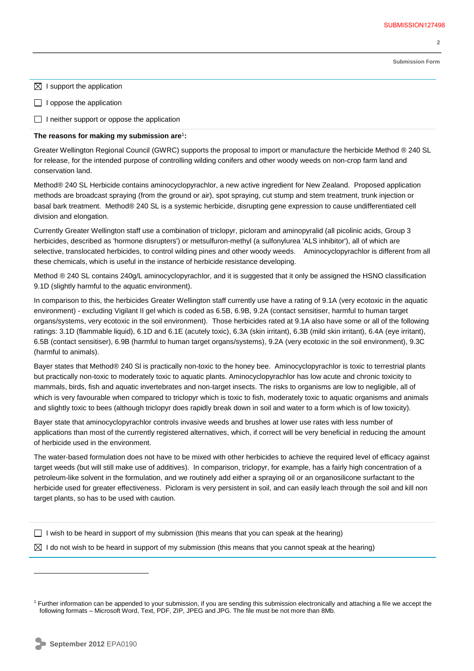**2** 

**Submission Form**

- $\boxtimes$  I support the application
- $\Box$  I oppose the application

 $\Box$  I neither support or oppose the application

## **The reasons for making my submission are**<sup>1</sup> **:**

Greater Wellington Regional Council (GWRC) supports the proposal to import or manufacture the herbicide Method ® 240 SL for release, for the intended purpose of controlling wilding conifers and other woody weeds on non-crop farm land and conservation land.

Method® 240 SL Herbicide contains aminocyclopyrachlor, a new active ingredient for New Zealand. Proposed application methods are broadcast spraying (from the ground or air), spot spraying, cut stump and stem treatment, trunk injection or basal bark treatment. Method® 240 SL is a systemic herbicide, disrupting gene expression to cause undifferentiated cell division and elongation.

Currently Greater Wellington staff use a combination of triclopyr, picloram and aminopyralid (all picolinic acids, Group 3 herbicides, described as 'hormone disrupters') or metsulfuron-methyl (a sulfonylurea 'ALS inhibitor'), all of which are selective, translocated herbicides, to control wilding pines and other woody weeds. Aminocyclopyrachlor is different from all these chemicals, which is useful in the instance of herbicide resistance developing.

Method ® 240 SL contains 240g/L aminocyclopyrachlor, and it is suggested that it only be assigned the HSNO classification 9.1D (slightly harmful to the aquatic environment).

In comparison to this, the herbicides Greater Wellington staff currently use have a rating of 9.1A (very ecotoxic in the aquatic environment) - excluding Vigilant II gel which is coded as 6.5B, 6.9B, 9.2A (contact sensitiser, harmful to human target organs/systems, very ecotoxic in the soil environment). Those herbicides rated at 9.1A also have some or all of the following ratings: 3.1D (flammable liquid), 6.1D and 6.1E (acutely toxic), 6.3A (skin irritant), 6.3B (mild skin irritant), 6.4A (eye irritant), 6.5B (contact sensitiser), 6.9B (harmful to human target organs/systems), 9.2A (very ecotoxic in the soil environment), 9.3C (harmful to animals).

Bayer states that Method® 240 Sl is practically non-toxic to the honey bee. Aminocyclopyrachlor is toxic to terrestrial plants but practically non-toxic to moderately toxic to aquatic plants. Aminocyclopyrachlor has low acute and chronic toxicity to mammals, birds, fish and aquatic invertebrates and non-target insects. The risks to organisms are low to negligible, all of which is very favourable when compared to triclopyr which is toxic to fish, moderately toxic to aquatic organisms and animals and slightly toxic to bees (although triclopyr does rapidly break down in soil and water to a form which is of low toxicity).

Bayer state that aminocyclopyrachlor controls invasive weeds and brushes at lower use rates with less number of applications than most of the currently registered alternatives, which, if correct will be very beneficial in reducing the amount of herbicide used in the environment.

The water-based formulation does not have to be mixed with other herbicides to achieve the required level of efficacy against target weeds (but will still make use of additives). In comparison, triclopyr, for example, has a fairly high concentration of a petroleum-like solvent in the formulation, and we routinely add either a spraying oil or an organosilicone surfactant to the herbicide used for greater effectiveness. Picloram is very persistent in soil, and can easily leach through the soil and kill non target plants, so has to be used with caution.

I wish to be heard in support of my submission (this means that you can speak at the hearing)

 $\boxtimes$  I do not wish to be heard in support of my submission (this means that you cannot speak at the hearing)

 $\overline{a}$ 

<sup>&</sup>lt;sup>1</sup> Further information can be appended to your submission, if you are sending this submission electronically and attaching a file we accept the following formats – Microsoft Word, Text, PDF, ZIP, JPEG and JPG. The file must be not more than 8Mb.